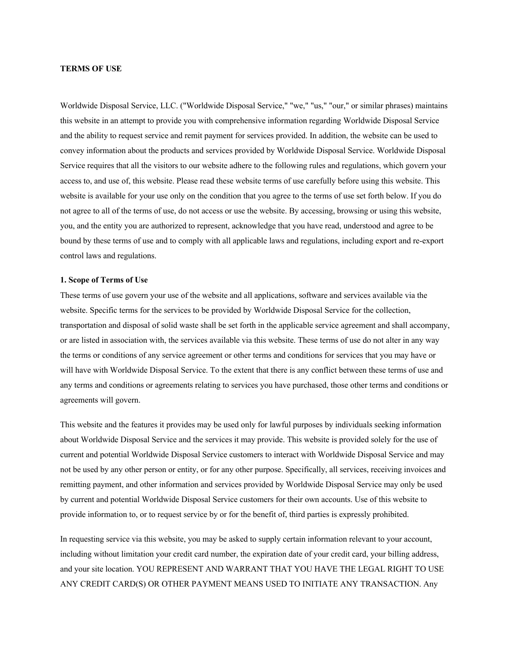## **TERMS OF USE**

Worldwide Disposal Service, LLC. ("Worldwide Disposal Service," "we," "us," "our," or similar phrases) maintains this website in an attempt to provide you with comprehensive information regarding Worldwide Disposal Service and the ability to request service and remit payment for services provided. In addition, the website can be used to convey information about the products and services provided by Worldwide Disposal Service. Worldwide Disposal Service requires that all the visitors to our website adhere to the following rules and regulations, which govern your access to, and use of, this website. Please read these website terms of use carefully before using this website. This website is available for your use only on the condition that you agree to the terms of use set forth below. If you do not agree to all of the terms of use, do not access or use the website. By accessing, browsing or using this website, you, and the entity you are authorized to represent, acknowledge that you have read, understood and agree to be bound by these terms of use and to comply with all applicable laws and regulations, including export and re-export control laws and regulations.

#### **1. Scope of Terms of Use**

These terms of use govern your use of the website and all applications, software and services available via the website. Specific terms for the services to be provided by Worldwide Disposal Service for the collection, transportation and disposal of solid waste shall be set forth in the applicable service agreement and shall accompany, or are listed in association with, the services available via this website. These terms of use do not alter in any way the terms or conditions of any service agreement or other terms and conditions for services that you may have or will have with Worldwide Disposal Service. To the extent that there is any conflict between these terms of use and any terms and conditions or agreements relating to services you have purchased, those other terms and conditions or agreements will govern.

This website and the features it provides may be used only for lawful purposes by individuals seeking information about Worldwide Disposal Service and the services it may provide. This website is provided solely for the use of current and potential Worldwide Disposal Service customers to interact with Worldwide Disposal Service and may not be used by any other person or entity, or for any other purpose. Specifically, all services, receiving invoices and remitting payment, and other information and services provided by Worldwide Disposal Service may only be used by current and potential Worldwide Disposal Service customers for their own accounts. Use of this website to provide information to, or to request service by or for the benefit of, third parties is expressly prohibited.

In requesting service via this website, you may be asked to supply certain information relevant to your account, including without limitation your credit card number, the expiration date of your credit card, your billing address, and your site location. YOU REPRESENT AND WARRANT THAT YOU HAVE THE LEGAL RIGHT TO USE ANY CREDIT CARD(S) OR OTHER PAYMENT MEANS USED TO INITIATE ANY TRANSACTION. Any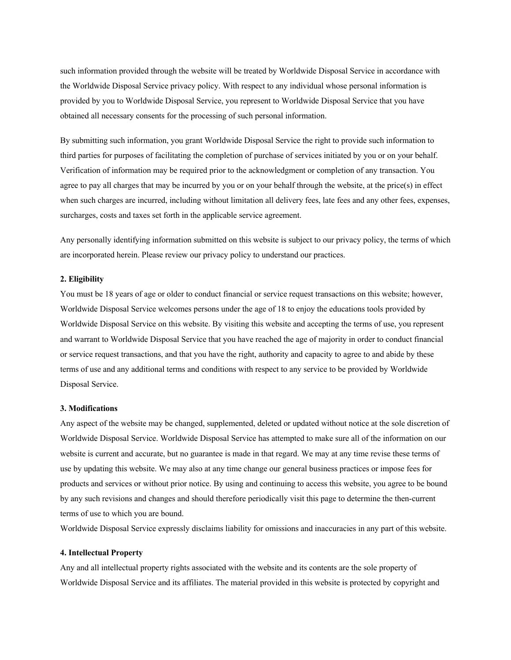such information provided through the website will be treated by Worldwide Disposal Service in accordance with the Worldwide Disposal Service privacy policy. With respect to any individual whose personal information is provided by you to Worldwide Disposal Service, you represent to Worldwide Disposal Service that you have obtained all necessary consents for the processing of such personal information.

By submitting such information, you grant Worldwide Disposal Service the right to provide such information to third parties for purposes of facilitating the completion of purchase of services initiated by you or on your behalf. Verification of information may be required prior to the acknowledgment or completion of any transaction. You agree to pay all charges that may be incurred by you or on your behalf through the website, at the price(s) in effect when such charges are incurred, including without limitation all delivery fees, late fees and any other fees, expenses, surcharges, costs and taxes set forth in the applicable service agreement.

Any personally identifying information submitted on this website is subject to our privacy policy, the terms of which are incorporated herein. Please review our privacy policy to understand our practices.

## **2. Eligibility**

You must be 18 years of age or older to conduct financial or service request transactions on this website; however, Worldwide Disposal Service welcomes persons under the age of 18 to enjoy the educations tools provided by Worldwide Disposal Service on this website. By visiting this website and accepting the terms of use, you represent and warrant to Worldwide Disposal Service that you have reached the age of majority in order to conduct financial or service request transactions, and that you have the right, authority and capacity to agree to and abide by these terms of use and any additional terms and conditions with respect to any service to be provided by Worldwide Disposal Service.

#### **3. Modifications**

Any aspect of the website may be changed, supplemented, deleted or updated without notice at the sole discretion of Worldwide Disposal Service. Worldwide Disposal Service has attempted to make sure all of the information on our website is current and accurate, but no guarantee is made in that regard. We may at any time revise these terms of use by updating this website. We may also at any time change our general business practices or impose fees for products and services or without prior notice. By using and continuing to access this website, you agree to be bound by any such revisions and changes and should therefore periodically visit this page to determine the then-current terms of use to which you are bound.

Worldwide Disposal Service expressly disclaims liability for omissions and inaccuracies in any part of this website.

#### **4. Intellectual Property**

Any and all intellectual property rights associated with the website and its contents are the sole property of Worldwide Disposal Service and its affiliates. The material provided in this website is protected by copyright and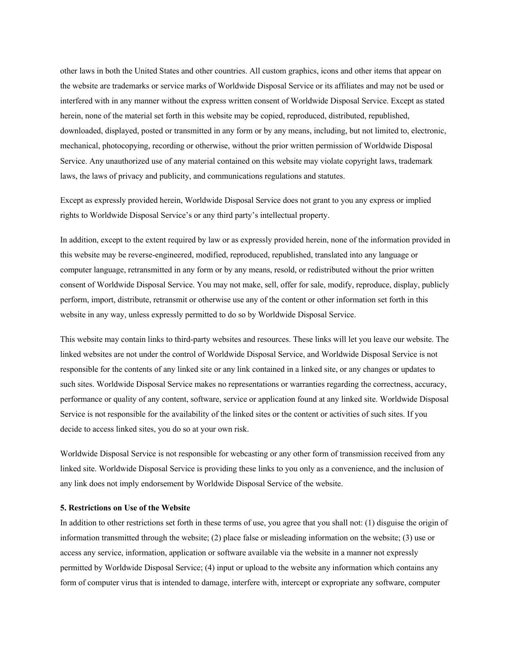other laws in both the United States and other countries. All custom graphics, icons and other items that appear on the website are trademarks or service marks of Worldwide Disposal Service or its affiliates and may not be used or interfered with in any manner without the express written consent of Worldwide Disposal Service. Except as stated herein, none of the material set forth in this website may be copied, reproduced, distributed, republished, downloaded, displayed, posted or transmitted in any form or by any means, including, but not limited to, electronic, mechanical, photocopying, recording or otherwise, without the prior written permission of Worldwide Disposal Service. Any unauthorized use of any material contained on this website may violate copyright laws, trademark laws, the laws of privacy and publicity, and communications regulations and statutes.

Except as expressly provided herein, Worldwide Disposal Service does not grant to you any express or implied rights to Worldwide Disposal Service's or any third party's intellectual property.

In addition, except to the extent required by law or as expressly provided herein, none of the information provided in this website may be reverse-engineered, modified, reproduced, republished, translated into any language or computer language, retransmitted in any form or by any means, resold, or redistributed without the prior written consent of Worldwide Disposal Service. You may not make, sell, offer for sale, modify, reproduce, display, publicly perform, import, distribute, retransmit or otherwise use any of the content or other information set forth in this website in any way, unless expressly permitted to do so by Worldwide Disposal Service.

This website may contain links to third-party websites and resources. These links will let you leave our website. The linked websites are not under the control of Worldwide Disposal Service, and Worldwide Disposal Service is not responsible for the contents of any linked site or any link contained in a linked site, or any changes or updates to such sites. Worldwide Disposal Service makes no representations or warranties regarding the correctness, accuracy, performance or quality of any content, software, service or application found at any linked site. Worldwide Disposal Service is not responsible for the availability of the linked sites or the content or activities of such sites. If you decide to access linked sites, you do so at your own risk.

Worldwide Disposal Service is not responsible for webcasting or any other form of transmission received from any linked site. Worldwide Disposal Service is providing these links to you only as a convenience, and the inclusion of any link does not imply endorsement by Worldwide Disposal Service of the website.

## **5. Restrictions on Use of the Website**

In addition to other restrictions set forth in these terms of use, you agree that you shall not: (1) disguise the origin of information transmitted through the website; (2) place false or misleading information on the website; (3) use or access any service, information, application or software available via the website in a manner not expressly permitted by Worldwide Disposal Service; (4) input or upload to the website any information which contains any form of computer virus that is intended to damage, interfere with, intercept or expropriate any software, computer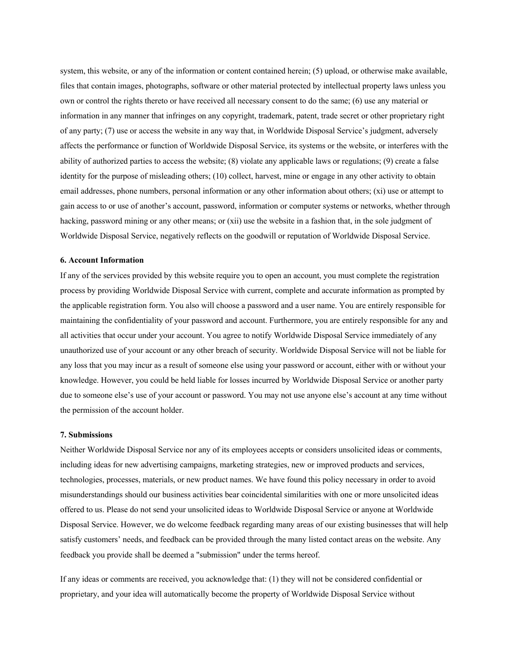system, this website, or any of the information or content contained herein; (5) upload, or otherwise make available, files that contain images, photographs, software or other material protected by intellectual property laws unless you own or control the rights thereto or have received all necessary consent to do the same; (6) use any material or information in any manner that infringes on any copyright, trademark, patent, trade secret or other proprietary right of any party; (7) use or access the website in any way that, in Worldwide Disposal Service's judgment, adversely affects the performance or function of Worldwide Disposal Service, its systems or the website, or interferes with the ability of authorized parties to access the website; (8) violate any applicable laws or regulations; (9) create a false identity for the purpose of misleading others; (10) collect, harvest, mine or engage in any other activity to obtain email addresses, phone numbers, personal information or any other information about others; (xi) use or attempt to gain access to or use of another's account, password, information or computer systems or networks, whether through hacking, password mining or any other means; or (xii) use the website in a fashion that, in the sole judgment of Worldwide Disposal Service, negatively reflects on the goodwill or reputation of Worldwide Disposal Service.

### **6. Account Information**

If any of the services provided by this website require you to open an account, you must complete the registration process by providing Worldwide Disposal Service with current, complete and accurate information as prompted by the applicable registration form. You also will choose a password and a user name. You are entirely responsible for maintaining the confidentiality of your password and account. Furthermore, you are entirely responsible for any and all activities that occur under your account. You agree to notify Worldwide Disposal Service immediately of any unauthorized use of your account or any other breach of security. Worldwide Disposal Service will not be liable for any loss that you may incur as a result of someone else using your password or account, either with or without your knowledge. However, you could be held liable for losses incurred by Worldwide Disposal Service or another party due to someone else's use of your account or password. You may not use anyone else's account at any time without the permission of the account holder.

#### **7. Submissions**

Neither Worldwide Disposal Service nor any of its employees accepts or considers unsolicited ideas or comments, including ideas for new advertising campaigns, marketing strategies, new or improved products and services, technologies, processes, materials, or new product names. We have found this policy necessary in order to avoid misunderstandings should our business activities bear coincidental similarities with one or more unsolicited ideas offered to us. Please do not send your unsolicited ideas to Worldwide Disposal Service or anyone at Worldwide Disposal Service. However, we do welcome feedback regarding many areas of our existing businesses that will help satisfy customers' needs, and feedback can be provided through the many listed contact areas on the website. Any feedback you provide shall be deemed a "submission" under the terms hereof.

If any ideas or comments are received, you acknowledge that: (1) they will not be considered confidential or proprietary, and your idea will automatically become the property of Worldwide Disposal Service without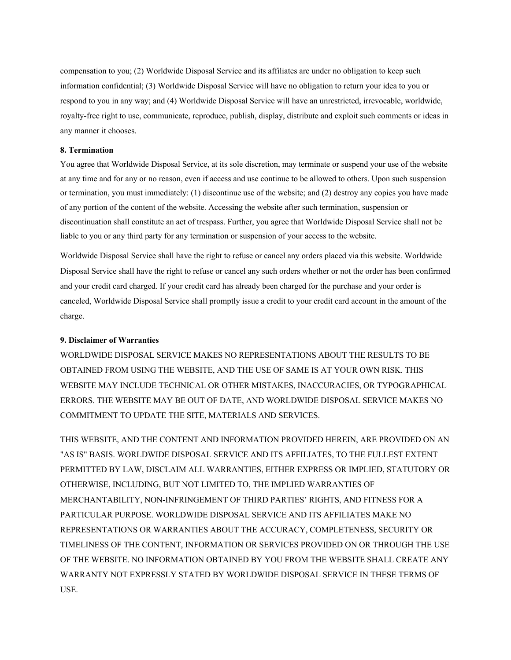compensation to you; (2) Worldwide Disposal Service and its affiliates are under no obligation to keep such information confidential; (3) Worldwide Disposal Service will have no obligation to return your idea to you or respond to you in any way; and (4) Worldwide Disposal Service will have an unrestricted, irrevocable, worldwide, royalty-free right to use, communicate, reproduce, publish, display, distribute and exploit such comments or ideas in any manner it chooses.

#### **8. Termination**

You agree that Worldwide Disposal Service, at its sole discretion, may terminate or suspend your use of the website at any time and for any or no reason, even if access and use continue to be allowed to others. Upon such suspension or termination, you must immediately: (1) discontinue use of the website; and (2) destroy any copies you have made of any portion of the content of the website. Accessing the website after such termination, suspension or discontinuation shall constitute an act of trespass. Further, you agree that Worldwide Disposal Service shall not be liable to you or any third party for any termination or suspension of your access to the website.

Worldwide Disposal Service shall have the right to refuse or cancel any orders placed via this website. Worldwide Disposal Service shall have the right to refuse or cancel any such orders whether or not the order has been confirmed and your credit card charged. If your credit card has already been charged for the purchase and your order is canceled, Worldwide Disposal Service shall promptly issue a credit to your credit card account in the amount of the charge.

### **9. Disclaimer of Warranties**

WORLDWIDE DISPOSAL SERVICE MAKES NO REPRESENTATIONS ABOUT THE RESULTS TO BE OBTAINED FROM USING THE WEBSITE, AND THE USE OF SAME IS AT YOUR OWN RISK. THIS WEBSITE MAY INCLUDE TECHNICAL OR OTHER MISTAKES, INACCURACIES, OR TYPOGRAPHICAL ERRORS. THE WEBSITE MAY BE OUT OF DATE, AND WORLDWIDE DISPOSAL SERVICE MAKES NO COMMITMENT TO UPDATE THE SITE, MATERIALS AND SERVICES.

THIS WEBSITE, AND THE CONTENT AND INFORMATION PROVIDED HEREIN, ARE PROVIDED ON AN "AS IS" BASIS. WORLDWIDE DISPOSAL SERVICE AND ITS AFFILIATES, TO THE FULLEST EXTENT PERMITTED BY LAW, DISCLAIM ALL WARRANTIES, EITHER EXPRESS OR IMPLIED, STATUTORY OR OTHERWISE, INCLUDING, BUT NOT LIMITED TO, THE IMPLIED WARRANTIES OF MERCHANTABILITY, NON-INFRINGEMENT OF THIRD PARTIES' RIGHTS, AND FITNESS FOR A PARTICULAR PURPOSE. WORLDWIDE DISPOSAL SERVICE AND ITS AFFILIATES MAKE NO REPRESENTATIONS OR WARRANTIES ABOUT THE ACCURACY, COMPLETENESS, SECURITY OR TIMELINESS OF THE CONTENT, INFORMATION OR SERVICES PROVIDED ON OR THROUGH THE USE OF THE WEBSITE. NO INFORMATION OBTAINED BY YOU FROM THE WEBSITE SHALL CREATE ANY WARRANTY NOT EXPRESSLY STATED BY WORLDWIDE DISPOSAL SERVICE IN THESE TERMS OF USE.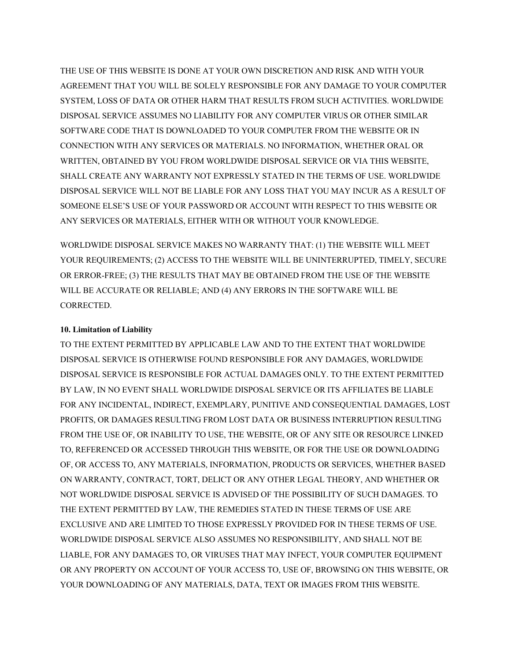THE USE OF THIS WEBSITE IS DONE AT YOUR OWN DISCRETION AND RISK AND WITH YOUR AGREEMENT THAT YOU WILL BE SOLELY RESPONSIBLE FOR ANY DAMAGE TO YOUR COMPUTER SYSTEM, LOSS OF DATA OR OTHER HARM THAT RESULTS FROM SUCH ACTIVITIES. WORLDWIDE DISPOSAL SERVICE ASSUMES NO LIABILITY FOR ANY COMPUTER VIRUS OR OTHER SIMILAR SOFTWARE CODE THAT IS DOWNLOADED TO YOUR COMPUTER FROM THE WEBSITE OR IN CONNECTION WITH ANY SERVICES OR MATERIALS. NO INFORMATION, WHETHER ORAL OR WRITTEN, OBTAINED BY YOU FROM WORLDWIDE DISPOSAL SERVICE OR VIA THIS WEBSITE, SHALL CREATE ANY WARRANTY NOT EXPRESSLY STATED IN THE TERMS OF USE. WORLDWIDE DISPOSAL SERVICE WILL NOT BE LIABLE FOR ANY LOSS THAT YOU MAY INCUR AS A RESULT OF SOMEONE ELSE'S USE OF YOUR PASSWORD OR ACCOUNT WITH RESPECT TO THIS WEBSITE OR ANY SERVICES OR MATERIALS, EITHER WITH OR WITHOUT YOUR KNOWLEDGE.

WORLDWIDE DISPOSAL SERVICE MAKES NO WARRANTY THAT: (1) THE WEBSITE WILL MEET YOUR REQUIREMENTS; (2) ACCESS TO THE WEBSITE WILL BE UNINTERRUPTED, TIMELY, SECURE OR ERROR-FREE; (3) THE RESULTS THAT MAY BE OBTAINED FROM THE USE OF THE WEBSITE WILL BE ACCURATE OR RELIABLE; AND (4) ANY ERRORS IN THE SOFTWARE WILL BE CORRECTED.

# **10. Limitation of Liability**

TO THE EXTENT PERMITTED BY APPLICABLE LAW AND TO THE EXTENT THAT WORLDWIDE DISPOSAL SERVICE IS OTHERWISE FOUND RESPONSIBLE FOR ANY DAMAGES, WORLDWIDE DISPOSAL SERVICE IS RESPONSIBLE FOR ACTUAL DAMAGES ONLY. TO THE EXTENT PERMITTED BY LAW, IN NO EVENT SHALL WORLDWIDE DISPOSAL SERVICE OR ITS AFFILIATES BE LIABLE FOR ANY INCIDENTAL, INDIRECT, EXEMPLARY, PUNITIVE AND CONSEQUENTIAL DAMAGES, LOST PROFITS, OR DAMAGES RESULTING FROM LOST DATA OR BUSINESS INTERRUPTION RESULTING FROM THE USE OF, OR INABILITY TO USE, THE WEBSITE, OR OF ANY SITE OR RESOURCE LINKED TO, REFERENCED OR ACCESSED THROUGH THIS WEBSITE, OR FOR THE USE OR DOWNLOADING OF, OR ACCESS TO, ANY MATERIALS, INFORMATION, PRODUCTS OR SERVICES, WHETHER BASED ON WARRANTY, CONTRACT, TORT, DELICT OR ANY OTHER LEGAL THEORY, AND WHETHER OR NOT WORLDWIDE DISPOSAL SERVICE IS ADVISED OF THE POSSIBILITY OF SUCH DAMAGES. TO THE EXTENT PERMITTED BY LAW, THE REMEDIES STATED IN THESE TERMS OF USE ARE EXCLUSIVE AND ARE LIMITED TO THOSE EXPRESSLY PROVIDED FOR IN THESE TERMS OF USE. WORLDWIDE DISPOSAL SERVICE ALSO ASSUMES NO RESPONSIBILITY, AND SHALL NOT BE LIABLE, FOR ANY DAMAGES TO, OR VIRUSES THAT MAY INFECT, YOUR COMPUTER EQUIPMENT OR ANY PROPERTY ON ACCOUNT OF YOUR ACCESS TO, USE OF, BROWSING ON THIS WEBSITE, OR YOUR DOWNLOADING OF ANY MATERIALS, DATA, TEXT OR IMAGES FROM THIS WEBSITE.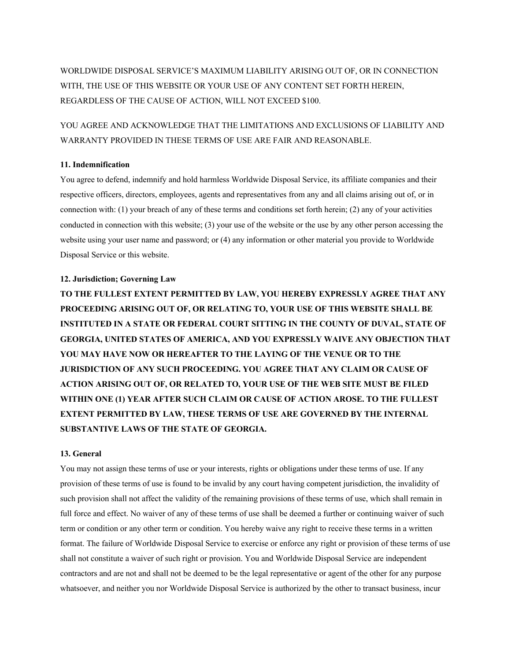WORLDWIDE DISPOSAL SERVICE'S MAXIMUM LIABILITY ARISING OUT OF, OR IN CONNECTION WITH, THE USE OF THIS WEBSITE OR YOUR USE OF ANY CONTENT SET FORTH HEREIN, REGARDLESS OF THE CAUSE OF ACTION, WILL NOT EXCEED \$100.

YOU AGREE AND ACKNOWLEDGE THAT THE LIMITATIONS AND EXCLUSIONS OF LIABILITY AND WARRANTY PROVIDED IN THESE TERMS OF USE ARE FAIR AND REASONABLE.

## **11. Indemnification**

You agree to defend, indemnify and hold harmless Worldwide Disposal Service, its affiliate companies and their respective officers, directors, employees, agents and representatives from any and all claims arising out of, or in connection with: (1) your breach of any of these terms and conditions set forth herein; (2) any of your activities conducted in connection with this website; (3) your use of the website or the use by any other person accessing the website using your user name and password; or (4) any information or other material you provide to Worldwide Disposal Service or this website.

## **12. Jurisdiction; Governing Law**

**TO THE FULLEST EXTENT PERMITTED BY LAW, YOU HEREBY EXPRESSLY AGREE THAT ANY PROCEEDING ARISING OUT OF, OR RELATING TO, YOUR USE OF THIS WEBSITE SHALL BE INSTITUTED IN A STATE OR FEDERAL COURT SITTING IN THE COUNTY OF DUVAL, STATE OF GEORGIA, UNITED STATES OF AMERICA, AND YOU EXPRESSLY WAIVE ANY OBJECTION THAT YOU MAY HAVE NOW OR HEREAFTER TO THE LAYING OF THE VENUE OR TO THE JURISDICTION OF ANY SUCH PROCEEDING. YOU AGREE THAT ANY CLAIM OR CAUSE OF ACTION ARISING OUT OF, OR RELATED TO, YOUR USE OF THE WEB SITE MUST BE FILED WITHIN ONE (1) YEAR AFTER SUCH CLAIM OR CAUSE OF ACTION AROSE. TO THE FULLEST EXTENT PERMITTED BY LAW, THESE TERMS OF USE ARE GOVERNED BY THE INTERNAL SUBSTANTIVE LAWS OF THE STATE OF GEORGIA.**

## **13. General**

You may not assign these terms of use or your interests, rights or obligations under these terms of use. If any provision of these terms of use is found to be invalid by any court having competent jurisdiction, the invalidity of such provision shall not affect the validity of the remaining provisions of these terms of use, which shall remain in full force and effect. No waiver of any of these terms of use shall be deemed a further or continuing waiver of such term or condition or any other term or condition. You hereby waive any right to receive these terms in a written format. The failure of Worldwide Disposal Service to exercise or enforce any right or provision of these terms of use shall not constitute a waiver of such right or provision. You and Worldwide Disposal Service are independent contractors and are not and shall not be deemed to be the legal representative or agent of the other for any purpose whatsoever, and neither you nor Worldwide Disposal Service is authorized by the other to transact business, incur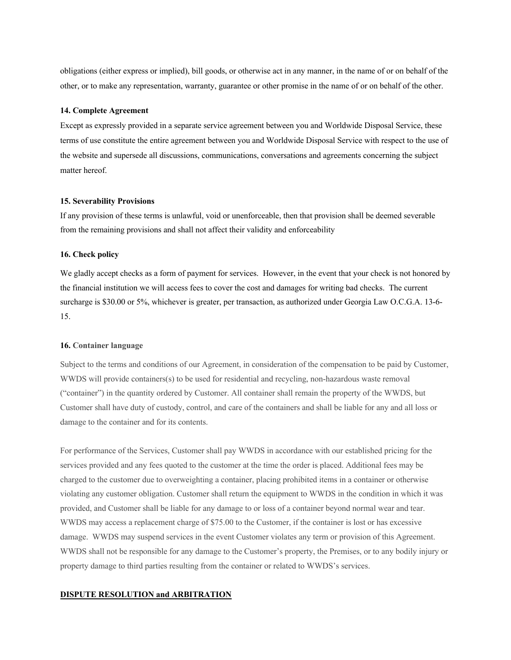obligations (either express or implied), bill goods, or otherwise act in any manner, in the name of or on behalf of the other, or to make any representation, warranty, guarantee or other promise in the name of or on behalf of the other.

#### **14. Complete Agreement**

Except as expressly provided in a separate service agreement between you and Worldwide Disposal Service, these terms of use constitute the entire agreement between you and Worldwide Disposal Service with respect to the use of the website and supersede all discussions, communications, conversations and agreements concerning the subject matter hereof.

## **15. Severability Provisions**

If any provision of these terms is unlawful, void or unenforceable, then that provision shall be deemed severable from the remaining provisions and shall not affect their validity and enforceability

### **16. Check policy**

We gladly accept checks as a form of payment for services. However, in the event that your check is not honored by the financial institution we will access fees to cover the cost and damages for writing bad checks. The current surcharge is \$30.00 or 5%, whichever is greater, per transaction, as authorized under Georgia Law O.C.G.A. 13-6-15.

#### **16. Container language**

Subject to the terms and conditions of our Agreement, in consideration of the compensation to be paid by Customer, WWDS will provide containers(s) to be used for residential and recycling, non-hazardous waste removal ("container") in the quantity ordered by Customer. All container shall remain the property of the WWDS, but Customer shall have duty of custody, control, and care of the containers and shall be liable for any and all loss or damage to the container and for its contents.

For performance of the Services, Customer shall pay WWDS in accordance with our established pricing for the services provided and any fees quoted to the customer at the time the order is placed. Additional fees may be charged to the customer due to overweighting a container, placing prohibited items in a container or otherwise violating any customer obligation. Customer shall return the equipment to WWDS in the condition in which it was provided, and Customer shall be liable for any damage to or loss of a container beyond normal wear and tear. WWDS may access a replacement charge of \$75.00 to the Customer, if the container is lost or has excessive damage. WWDS may suspend services in the event Customer violates any term or provision of this Agreement. WWDS shall not be responsible for any damage to the Customer's property, the Premises, or to any bodily injury or property damage to third parties resulting from the container or related to WWDS's services.

### **DISPUTE RESOLUTION and ARBITRATION**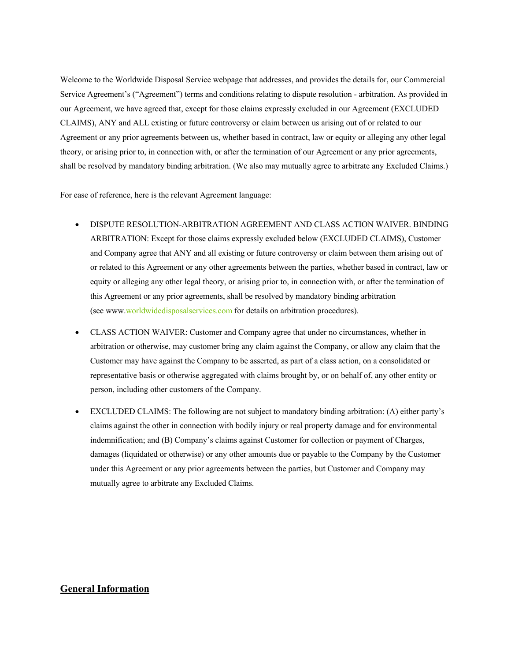Welcome to the Worldwide Disposal Service webpage that addresses, and provides the details for, our Commercial Service Agreement's ("Agreement") terms and conditions relating to dispute resolution - arbitration. As provided in our Agreement, we have agreed that, except for those claims expressly excluded in our Agreement (EXCLUDED CLAIMS), ANY and ALL existing or future controversy or claim between us arising out of or related to our Agreement or any prior agreements between us, whether based in contract, law or equity or alleging any other legal theory, or arising prior to, in connection with, or after the termination of our Agreement or any prior agreements, shall be resolved by mandatory binding arbitration. (We also may mutually agree to arbitrate any Excluded Claims.)

For ease of reference, here is the relevant Agreement language:

- DISPUTE RESOLUTION-ARBITRATION AGREEMENT AND CLASS ACTION WAIVER. BINDING ARBITRATION: Except for those claims expressly excluded below (EXCLUDED CLAIMS), Customer and Company agree that ANY and all existing or future controversy or claim between them arising out of or related to this Agreement or any other agreements between the parties, whether based in contract, law or equity or alleging any other legal theory, or arising prior to, in connection with, or after the termination of this Agreement or any prior agreements, shall be resolved by mandatory binding arbitration (see www.worldwidedisposalservices.com for details on arbitration procedures).
- CLASS ACTION WAIVER: Customer and Company agree that under no circumstances, whether in arbitration or otherwise, may customer bring any claim against the Company, or allow any claim that the Customer may have against the Company to be asserted, as part of a class action, on a consolidated or representative basis or otherwise aggregated with claims brought by, or on behalf of, any other entity or person, including other customers of the Company.
- EXCLUDED CLAIMS: The following are not subject to mandatory binding arbitration: (A) either party's claims against the other in connection with bodily injury or real property damage and for environmental indemnification; and (B) Company's claims against Customer for collection or payment of Charges, damages (liquidated or otherwise) or any other amounts due or payable to the Company by the Customer under this Agreement or any prior agreements between the parties, but Customer and Company may mutually agree to arbitrate any Excluded Claims.

# **General Information**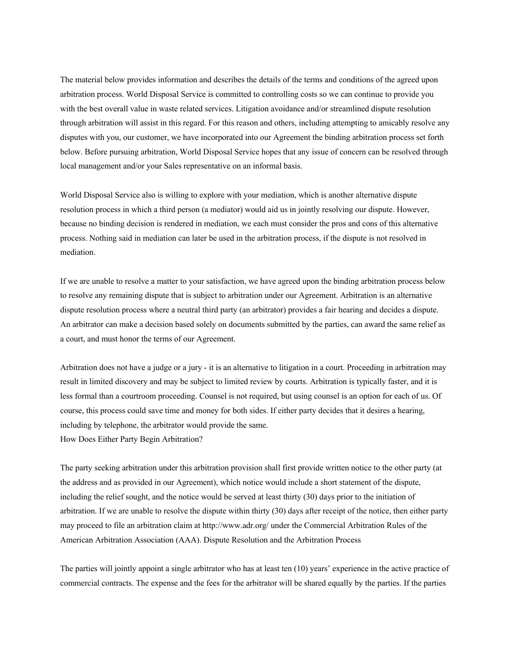The material below provides information and describes the details of the terms and conditions of the agreed upon arbitration process. World Disposal Service is committed to controlling costs so we can continue to provide you with the best overall value in waste related services. Litigation avoidance and/or streamlined dispute resolution through arbitration will assist in this regard. For this reason and others, including attempting to amicably resolve any disputes with you, our customer, we have incorporated into our Agreement the binding arbitration process set forth below. Before pursuing arbitration, World Disposal Service hopes that any issue of concern can be resolved through local management and/or your Sales representative on an informal basis.

World Disposal Service also is willing to explore with your mediation, which is another alternative dispute resolution process in which a third person (a mediator) would aid us in jointly resolving our dispute. However, because no binding decision is rendered in mediation, we each must consider the pros and cons of this alternative process. Nothing said in mediation can later be used in the arbitration process, if the dispute is not resolved in mediation.

If we are unable to resolve a matter to your satisfaction, we have agreed upon the binding arbitration process below to resolve any remaining dispute that is subject to arbitration under our Agreement. Arbitration is an alternative dispute resolution process where a neutral third party (an arbitrator) provides a fair hearing and decides a dispute. An arbitrator can make a decision based solely on documents submitted by the parties, can award the same relief as a court, and must honor the terms of our Agreement.

Arbitration does not have a judge or a jury - it is an alternative to litigation in a court. Proceeding in arbitration may result in limited discovery and may be subject to limited review by courts. Arbitration is typically faster, and it is less formal than a courtroom proceeding. Counsel is not required, but using counsel is an option for each of us. Of course, this process could save time and money for both sides. If either party decides that it desires a hearing, including by telephone, the arbitrator would provide the same. How Does Either Party Begin Arbitration?

The party seeking arbitration under this arbitration provision shall first provide written notice to the other party (at the address and as provided in our Agreement), which notice would include a short statement of the dispute, including the relief sought, and the notice would be served at least thirty (30) days prior to the initiation of arbitration. If we are unable to resolve the dispute within thirty (30) days after receipt of the notice, then either party may proceed to file an arbitration claim at http://www.adr.org/ under the Commercial Arbitration Rules of the American Arbitration Association (AAA). Dispute Resolution and the Arbitration Process

The parties will jointly appoint a single arbitrator who has at least ten (10) years' experience in the active practice of commercial contracts. The expense and the fees for the arbitrator will be shared equally by the parties. If the parties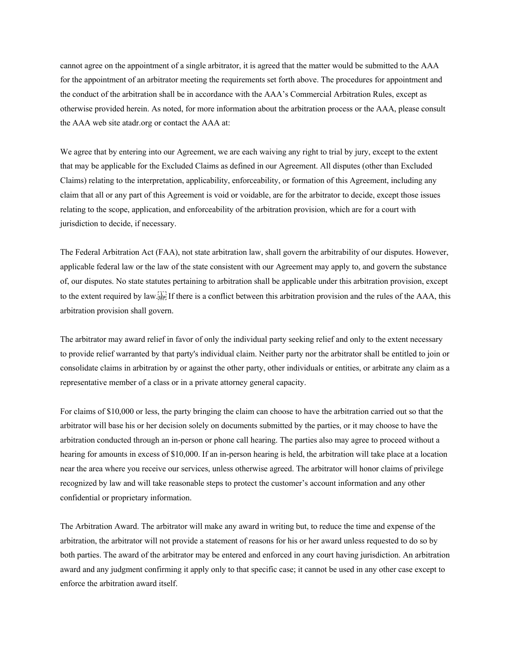cannot agree on the appointment of a single arbitrator, it is agreed that the matter would be submitted to the AAA for the appointment of an arbitrator meeting the requirements set forth above. The procedures for appointment and the conduct of the arbitration shall be in accordance with the AAA's Commercial Arbitration Rules, except as otherwise provided herein. As noted, for more information about the arbitration process or the AAA, please consult the AAA web site atadr.org or contact the AAA at:

We agree that by entering into our Agreement, we are each waiving any right to trial by jury, except to the extent that may be applicable for the Excluded Claims as defined in our Agreement. All disputes (other than Excluded Claims) relating to the interpretation, applicability, enforceability, or formation of this Agreement, including any claim that all or any part of this Agreement is void or voidable, are for the arbitrator to decide, except those issues relating to the scope, application, and enforceability of the arbitration provision, which are for a court with jurisdiction to decide, if necessary.

The Federal Arbitration Act (FAA), not state arbitration law, shall govern the arbitrability of our disputes. However, applicable federal law or the law of the state consistent with our Agreement may apply to, and govern the substance of, our disputes. No state statutes pertaining to arbitration shall be applicable under this arbitration provision, except to the extent required by law. If there is a conflict between this arbitration provision and the rules of the AAA, this arbitration provision shall govern.

The arbitrator may award relief in favor of only the individual party seeking relief and only to the extent necessary to provide relief warranted by that party's individual claim. Neither party nor the arbitrator shall be entitled to join or consolidate claims in arbitration by or against the other party, other individuals or entities, or arbitrate any claim as a representative member of a class or in a private attorney general capacity.

For claims of \$10,000 or less, the party bringing the claim can choose to have the arbitration carried out so that the arbitrator will base his or her decision solely on documents submitted by the parties, or it may choose to have the arbitration conducted through an in-person or phone call hearing. The parties also may agree to proceed without a hearing for amounts in excess of \$10,000. If an in-person hearing is held, the arbitration will take place at a location near the area where you receive our services, unless otherwise agreed. The arbitrator will honor claims of privilege recognized by law and will take reasonable steps to protect the customer's account information and any other confidential or proprietary information.

The Arbitration Award. The arbitrator will make any award in writing but, to reduce the time and expense of the arbitration, the arbitrator will not provide a statement of reasons for his or her award unless requested to do so by both parties. The award of the arbitrator may be entered and enforced in any court having jurisdiction. An arbitration award and any judgment confirming it apply only to that specific case; it cannot be used in any other case except to enforce the arbitration award itself.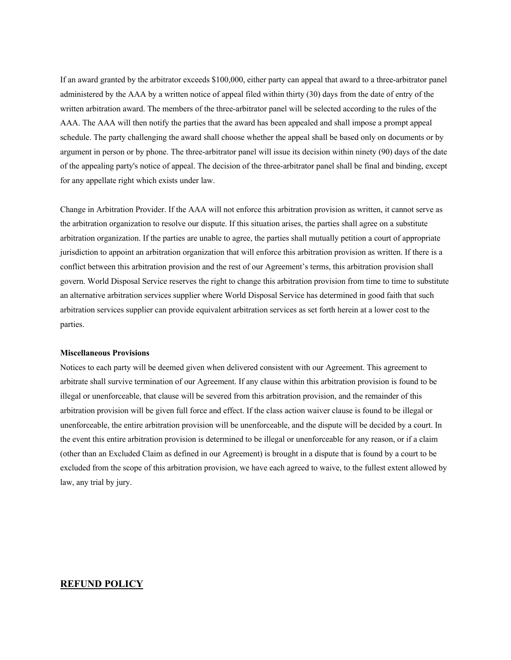If an award granted by the arbitrator exceeds \$100,000, either party can appeal that award to a three-arbitrator panel administered by the AAA by a written notice of appeal filed within thirty (30) days from the date of entry of the written arbitration award. The members of the three-arbitrator panel will be selected according to the rules of the AAA. The AAA will then notify the parties that the award has been appealed and shall impose a prompt appeal schedule. The party challenging the award shall choose whether the appeal shall be based only on documents or by argument in person or by phone. The three-arbitrator panel will issue its decision within ninety (90) days of the date of the appealing party's notice of appeal. The decision of the three-arbitrator panel shall be final and binding, except for any appellate right which exists under law.

Change in Arbitration Provider. If the AAA will not enforce this arbitration provision as written, it cannot serve as the arbitration organization to resolve our dispute. If this situation arises, the parties shall agree on a substitute arbitration organization. If the parties are unable to agree, the parties shall mutually petition a court of appropriate jurisdiction to appoint an arbitration organization that will enforce this arbitration provision as written. If there is a conflict between this arbitration provision and the rest of our Agreement's terms, this arbitration provision shall govern. World Disposal Service reserves the right to change this arbitration provision from time to time to substitute an alternative arbitration services supplier where World Disposal Service has determined in good faith that such arbitration services supplier can provide equivalent arbitration services as set forth herein at a lower cost to the parties.

## **Miscellaneous Provisions**

Notices to each party will be deemed given when delivered consistent with our Agreement. This agreement to arbitrate shall survive termination of our Agreement. If any clause within this arbitration provision is found to be illegal or unenforceable, that clause will be severed from this arbitration provision, and the remainder of this arbitration provision will be given full force and effect. If the class action waiver clause is found to be illegal or unenforceable, the entire arbitration provision will be unenforceable, and the dispute will be decided by a court. In the event this entire arbitration provision is determined to be illegal or unenforceable for any reason, or if a claim (other than an Excluded Claim as defined in our Agreement) is brought in a dispute that is found by a court to be excluded from the scope of this arbitration provision, we have each agreed to waive, to the fullest extent allowed by law, any trial by jury.

# **REFUND POLICY**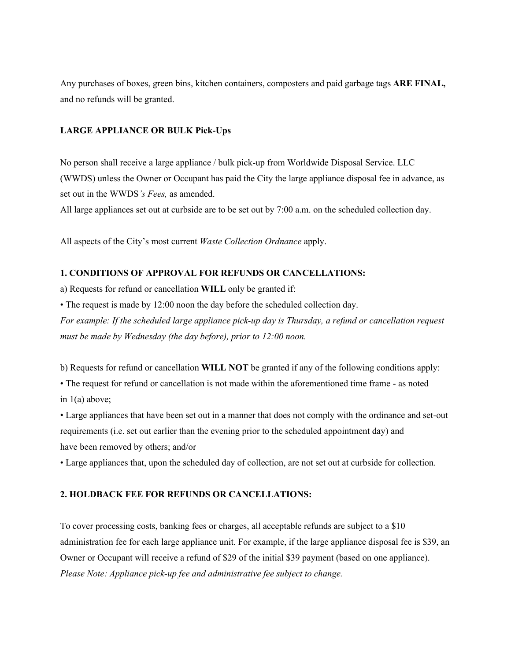Any purchases of boxes, green bins, kitchen containers, composters and paid garbage tags **ARE FINAL,**  and no refunds will be granted.

# **LARGE APPLIANCE OR BULK Pick-Ups**

No person shall receive a large appliance / bulk pick-up from Worldwide Disposal Service. LLC (WWDS) unless the Owner or Occupant has paid the City the large appliance disposal fee in advance, as set out in the WWDS*'s Fees,* as amended.

All large appliances set out at curbside are to be set out by 7:00 a.m. on the scheduled collection day.

All aspects of the City's most current *Waste Collection Ordnance* apply.

# **1. CONDITIONS OF APPROVAL FOR REFUNDS OR CANCELLATIONS:**

a) Requests for refund or cancellation **WILL** only be granted if:

• The request is made by 12:00 noon the day before the scheduled collection day.

*For example: If the scheduled large appliance pick-up day is Thursday, a refund or cancellation request must be made by Wednesday (the day before), prior to 12:00 noon.*

b) Requests for refund or cancellation **WILL NOT** be granted if any of the following conditions apply:

• The request for refund or cancellation is not made within the aforementioned time frame - as noted in 1(a) above;

• Large appliances that have been set out in a manner that does not comply with the ordinance and set-out requirements (i.e. set out earlier than the evening prior to the scheduled appointment day) and have been removed by others; and/or

• Large appliances that, upon the scheduled day of collection, are not set out at curbside for collection.

# **2. HOLDBACK FEE FOR REFUNDS OR CANCELLATIONS:**

To cover processing costs, banking fees or charges, all acceptable refunds are subject to a \$10 administration fee for each large appliance unit. For example, if the large appliance disposal fee is \$39, an Owner or Occupant will receive a refund of \$29 of the initial \$39 payment (based on one appliance). *Please Note: Appliance pick-up fee and administrative fee subject to change.*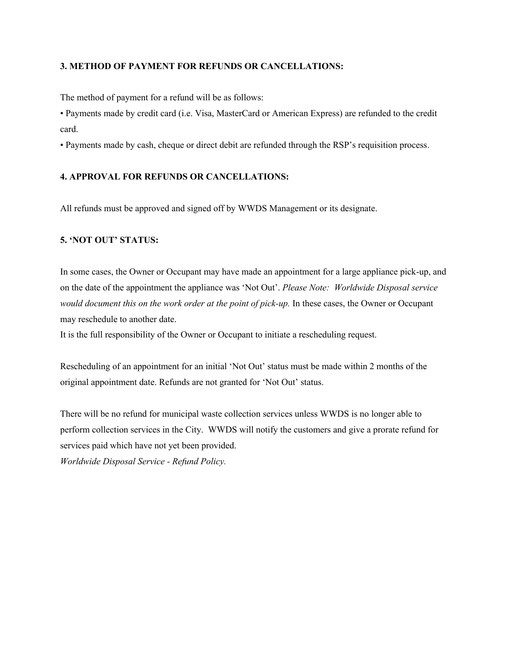# **3. METHOD OF PAYMENT FOR REFUNDS OR CANCELLATIONS:**

The method of payment for a refund will be as follows:

• Payments made by credit card (i.e. Visa, MasterCard or American Express) are refunded to the credit card.

• Payments made by cash, cheque or direct debit are refunded through the RSP's requisition process.

# **4. APPROVAL FOR REFUNDS OR CANCELLATIONS:**

All refunds must be approved and signed off by WWDS Management or its designate.

# **5. 'NOT OUT' STATUS:**

In some cases, the Owner or Occupant may have made an appointment for a large appliance pick-up, and on the date of the appointment the appliance was 'Not Out'. *Please Note: Worldwide Disposal service would document this on the work order at the point of pick-up.* In these cases, the Owner or Occupant may reschedule to another date.

It is the full responsibility of the Owner or Occupant to initiate a rescheduling request.

Rescheduling of an appointment for an initial 'Not Out' status must be made within 2 months of the original appointment date. Refunds are not granted for 'Not Out' status.

There will be no refund for municipal waste collection services unless WWDS is no longer able to perform collection services in the City. WWDS will notify the customers and give a prorate refund for services paid which have not yet been provided.

*Worldwide Disposal Service - Refund Policy.*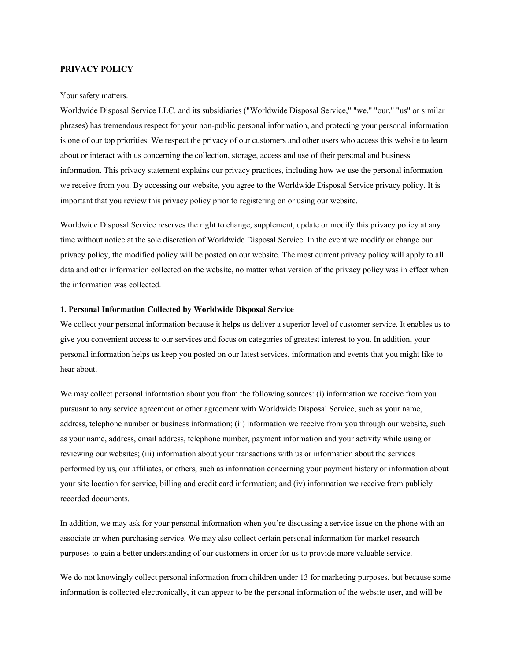## **PRIVACY POLICY**

#### Your safety matters.

Worldwide Disposal Service LLC. and its subsidiaries ("Worldwide Disposal Service," "we," "our," "us" or similar phrases) has tremendous respect for your non-public personal information, and protecting your personal information is one of our top priorities. We respect the privacy of our customers and other users who access this website to learn about or interact with us concerning the collection, storage, access and use of their personal and business information. This privacy statement explains our privacy practices, including how we use the personal information we receive from you. By accessing our website, you agree to the Worldwide Disposal Service privacy policy. It is important that you review this privacy policy prior to registering on or using our website.

Worldwide Disposal Service reserves the right to change, supplement, update or modify this privacy policy at any time without notice at the sole discretion of Worldwide Disposal Service. In the event we modify or change our privacy policy, the modified policy will be posted on our website. The most current privacy policy will apply to all data and other information collected on the website, no matter what version of the privacy policy was in effect when the information was collected.

#### **1. Personal Information Collected by Worldwide Disposal Service**

We collect your personal information because it helps us deliver a superior level of customer service. It enables us to give you convenient access to our services and focus on categories of greatest interest to you. In addition, your personal information helps us keep you posted on our latest services, information and events that you might like to hear about.

We may collect personal information about you from the following sources: (i) information we receive from you pursuant to any service agreement or other agreement with Worldwide Disposal Service, such as your name, address, telephone number or business information; (ii) information we receive from you through our website, such as your name, address, email address, telephone number, payment information and your activity while using or reviewing our websites; (iii) information about your transactions with us or information about the services performed by us, our affiliates, or others, such as information concerning your payment history or information about your site location for service, billing and credit card information; and (iv) information we receive from publicly recorded documents.

In addition, we may ask for your personal information when you're discussing a service issue on the phone with an associate or when purchasing service. We may also collect certain personal information for market research purposes to gain a better understanding of our customers in order for us to provide more valuable service.

We do not knowingly collect personal information from children under 13 for marketing purposes, but because some information is collected electronically, it can appear to be the personal information of the website user, and will be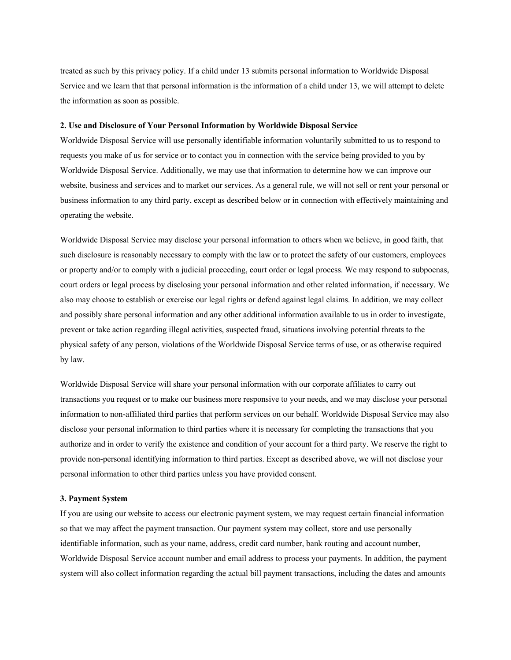treated as such by this privacy policy. If a child under 13 submits personal information to Worldwide Disposal Service and we learn that that personal information is the information of a child under 13, we will attempt to delete the information as soon as possible.

#### **2. Use and Disclosure of Your Personal Information by Worldwide Disposal Service**

Worldwide Disposal Service will use personally identifiable information voluntarily submitted to us to respond to requests you make of us for service or to contact you in connection with the service being provided to you by Worldwide Disposal Service. Additionally, we may use that information to determine how we can improve our website, business and services and to market our services. As a general rule, we will not sell or rent your personal or business information to any third party, except as described below or in connection with effectively maintaining and operating the website.

Worldwide Disposal Service may disclose your personal information to others when we believe, in good faith, that such disclosure is reasonably necessary to comply with the law or to protect the safety of our customers, employees or property and/or to comply with a judicial proceeding, court order or legal process. We may respond to subpoenas, court orders or legal process by disclosing your personal information and other related information, if necessary. We also may choose to establish or exercise our legal rights or defend against legal claims. In addition, we may collect and possibly share personal information and any other additional information available to us in order to investigate, prevent or take action regarding illegal activities, suspected fraud, situations involving potential threats to the physical safety of any person, violations of the Worldwide Disposal Service terms of use, or as otherwise required by law.

Worldwide Disposal Service will share your personal information with our corporate affiliates to carry out transactions you request or to make our business more responsive to your needs, and we may disclose your personal information to non-affiliated third parties that perform services on our behalf. Worldwide Disposal Service may also disclose your personal information to third parties where it is necessary for completing the transactions that you authorize and in order to verify the existence and condition of your account for a third party. We reserve the right to provide non-personal identifying information to third parties. Except as described above, we will not disclose your personal information to other third parties unless you have provided consent.

#### **3. Payment System**

If you are using our website to access our electronic payment system, we may request certain financial information so that we may affect the payment transaction. Our payment system may collect, store and use personally identifiable information, such as your name, address, credit card number, bank routing and account number, Worldwide Disposal Service account number and email address to process your payments. In addition, the payment system will also collect information regarding the actual bill payment transactions, including the dates and amounts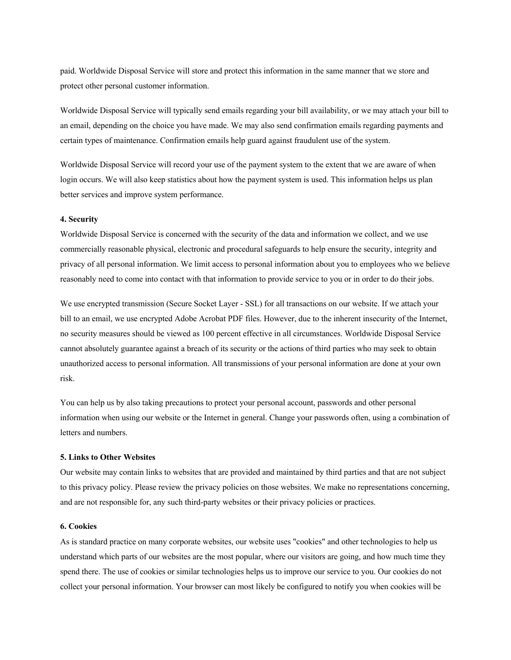paid. Worldwide Disposal Service will store and protect this information in the same manner that we store and protect other personal customer information.

Worldwide Disposal Service will typically send emails regarding your bill availability, or we may attach your bill to an email, depending on the choice you have made. We may also send confirmation emails regarding payments and certain types of maintenance. Confirmation emails help guard against fraudulent use of the system.

Worldwide Disposal Service will record your use of the payment system to the extent that we are aware of when login occurs. We will also keep statistics about how the payment system is used. This information helps us plan better services and improve system performance.

#### **4. Security**

Worldwide Disposal Service is concerned with the security of the data and information we collect, and we use commercially reasonable physical, electronic and procedural safeguards to help ensure the security, integrity and privacy of all personal information. We limit access to personal information about you to employees who we believe reasonably need to come into contact with that information to provide service to you or in order to do their jobs.

We use encrypted transmission (Secure Socket Layer - SSL) for all transactions on our website. If we attach your bill to an email, we use encrypted Adobe Acrobat PDF files. However, due to the inherent insecurity of the Internet, no security measures should be viewed as 100 percent effective in all circumstances. Worldwide Disposal Service cannot absolutely guarantee against a breach of its security or the actions of third parties who may seek to obtain unauthorized access to personal information. All transmissions of your personal information are done at your own risk.

You can help us by also taking precautions to protect your personal account, passwords and other personal information when using our website or the Internet in general. Change your passwords often, using a combination of letters and numbers.

#### **5. Links to Other Websites**

Our website may contain links to websites that are provided and maintained by third parties and that are not subject to this privacy policy. Please review the privacy policies on those websites. We make no representations concerning, and are not responsible for, any such third-party websites or their privacy policies or practices.

## **6. Cookies**

As is standard practice on many corporate websites, our website uses "cookies" and other technologies to help us understand which parts of our websites are the most popular, where our visitors are going, and how much time they spend there. The use of cookies or similar technologies helps us to improve our service to you. Our cookies do not collect your personal information. Your browser can most likely be configured to notify you when cookies will be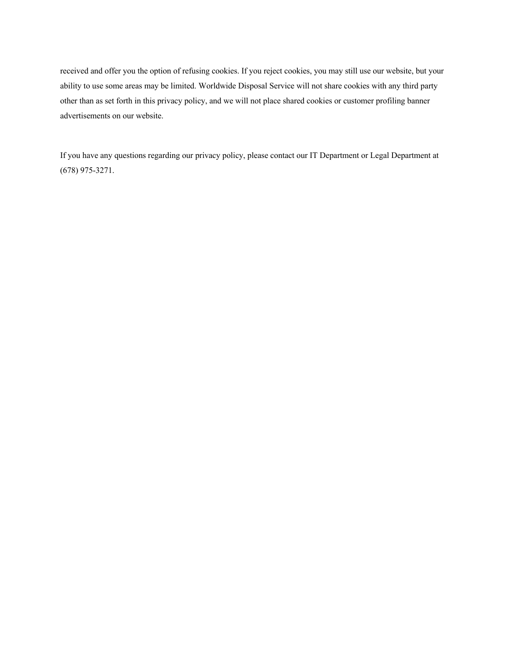received and offer you the option of refusing cookies. If you reject cookies, you may still use our website, but your ability to use some areas may be limited. Worldwide Disposal Service will not share cookies with any third party other than as set forth in this privacy policy, and we will not place shared cookies or customer profiling banner advertisements on our website.

If you have any questions regarding our privacy policy, please contact our IT Department or Legal Department at (678) 975-3271.